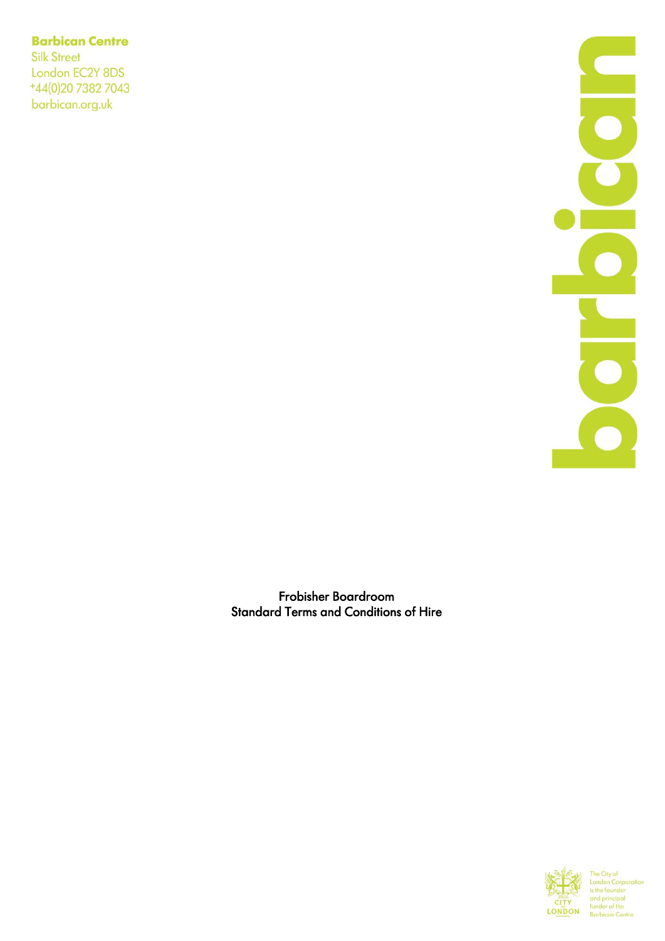# **Barbican Centre**

**Silk Street** London EC2Y 8DS +44(0)20 7382 7043 barbican.org.uk



Frobisher Boardroom Standard Terms and Conditions of Hire

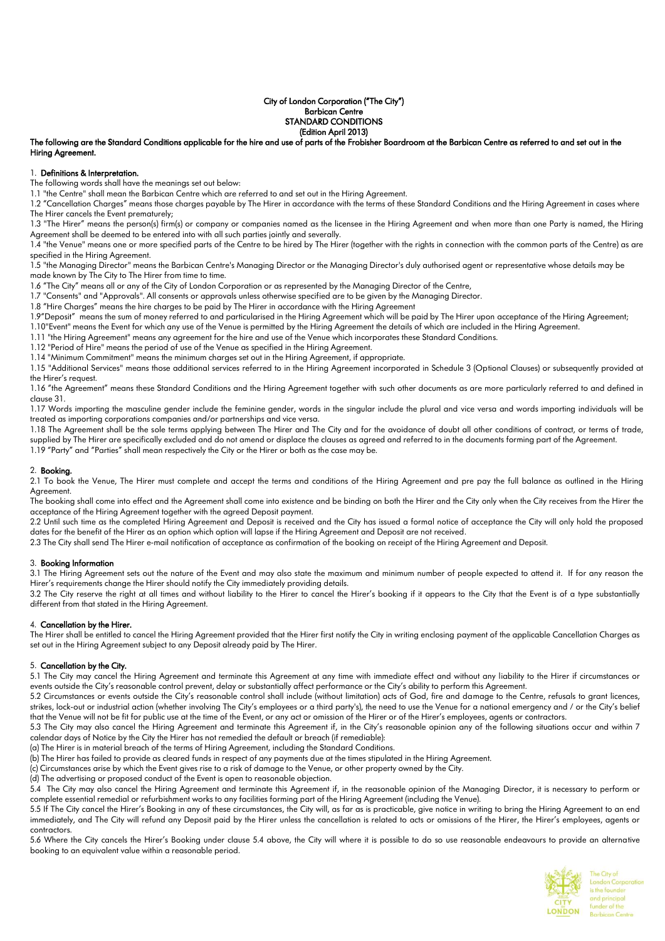#### City of London Corporation ("The City") Barbican Centre STANDARD CONDITIONS (Edition April 2013)

# The following are the Standard Conditions applicable for the hire and use of parts of the Frobisher Boardroom at the Barbican Centre as referred to and set out in the Hiring Agreement.

#### 1. Definitions & Interpretation.

The following words shall have the meanings set out below:

1.1 "the Centre" shall mean the Barbican Centre which are referred to and set out in the Hiring Agreement.

1.2 "Cancellation Charges" means those charges payable by The Hirer in accordance with the terms of these Standard Conditions and the Hiring Agreement in cases where The Hirer cancels the Event prematurely;

1.3 "The Hirer" means the person(s) firm(s) or company or companies named as the licensee in the Hiring Agreement and when more than one Party is named, the Hiring Agreement shall be deemed to be entered into with all such parties jointly and severally.

1.4 "the Venue" means one or more specified parts of the Centre to be hired by The Hirer (together with the rights in connection with the common parts of the Centre) as are specified in the Hiring Agreement.

1.5 "the Managing Director" means the Barbican Centre's Managing Director or the Managing Director's duly authorised agent or representative whose details may be made known by The City to The Hirer from time to time.

1.6 "The City" means all or any of the City of London Corporation or as represented by the Managing Director of the Centre,

1.7 "Consents" and "Approvals". All consents or approvals unless otherwise specified are to be given by the Managing Director.

1.8 "Hire Charges" means the hire charges to be paid by The Hirer in accordance with the Hiring Agreement

1.9"Deposit" means the sum of money referred to and particularised in the Hiring Agreement which will be paid by The Hirer upon acceptance of the Hiring Agreement;

1.10"Event" means the Event for which any use of the Venue is permitted by the Hiring Agreement the details of which are included in the Hiring Agreement.

1.11 "the Hiring Agreement" means any agreement for the hire and use of the Venue which incorporates these Standard Conditions.

1.12 "Period of Hire" means the period of use of the Venue as specified in the Hiring Agreement.

1.14 "Minimum Commitment" means the minimum charges set out in the Hiring Agreement, if appropriate.

1.15 "Additional Services" means those additional services referred to in the Hiring Agreement incorporated in Schedule 3 (Optional Clauses) or subsequently provided at the Hirer's request.

1.16 "the Agreement" means these Standard Conditions and the Hiring Agreement together with such other documents as are more particularly referred to and defined in clause 31.

1.17 Words importing the masculine gender include the feminine gender, words in the singular include the plural and vice versa and words importing individuals will be treated as importing corporations companies and/or partnerships and vice versa.

1.18 The Agreement shall be the sole terms applying between The Hirer and The City and for the avoidance of doubt all other conditions of contract, or terms of trade, supplied by The Hirer are specifically excluded and do not amend or displace the clauses as agreed and referred to in the documents forming part of the Agreement. 1.19 "Party" and "Parties" shall mean respectively the City or the Hirer or both as the case may be.

### 2. Booking.

2.1 To book the Venue, The Hirer must complete and accept the terms and conditions of the Hiring Agreement and pre pay the full balance as outlined in the Hiring Agreement.

The booking shall come into effect and the Agreement shall come into existence and be binding on both the Hirer and the City only when the City receives from the Hirer the acceptance of the Hiring Agreement together with the agreed Deposit payment.

2.2 Until such time as the completed Hiring Agreement and Deposit is received and the City has issued a formal notice of acceptance the City will only hold the proposed dates for the benefit of the Hirer as an option which option will lapse if the Hiring Agreement and Deposit are not received.

2.3 The City shall send The Hirer e-mail notification of acceptance as confirmation of the booking on receipt of the Hiring Agreement and Deposit.

#### 3. Booking Information

3.1 The Hiring Agreement sets out the nature of the Event and may also state the maximum and minimum number of people expected to attend it. If for any reason the Hirer's requirements change the Hirer should notify the City immediately providing details.

3.2 The City reserve the right at all times and without liability to the Hirer to cancel the Hirer's booking if it appears to the City that the Event is of a type substantially different from that stated in the Hiring Agreement.

# 4. Cancellation by the Hirer.

The Hirer shall be entitled to cancel the Hiring Agreement provided that the Hirer first notify the City in writing enclosing payment of the applicable Cancellation Charges as set out in the Hiring Agreement subject to any Deposit already paid by The Hirer.

# 5. Cancellation by the City.

5.1 The City may cancel the Hiring Agreement and terminate this Agreement at any time with immediate effect and without any liability to the Hirer if circumstances or events outside the City's reasonable control prevent, delay or substantially affect performance or the City's ability to perform this Agreement.

5.2 Circumstances or events outside the City's reasonable control shall include (without limitation) acts of God, fire and damage to the Centre, refusals to grant licences, strikes, lock-out or industrial action (whether involving The City's employees or a third party's), the need to use the Venue for a national emergency and / or the City's belief that the Venue will not be fit for public use at the time of the Event, or any act or omission of the Hirer or of the Hirer's employees, agents or contractors.

5.3 The City may also cancel the Hiring Agreement and terminate this Agreement if, in the City's reasonable opinion any of the following situations occur and within 7 calendar days of Notice by the City the Hirer has not remedied the default or breach (if remediable):

(a) The Hirer is in material breach of the terms of Hiring Agreement, including the Standard Conditions.

(b) The Hirer has failed to provide as cleared funds in respect of any payments due at the times stipulated in the Hiring Agreement.

(c) Circumstances arise by which the Event gives rise to a risk of damage to the Venue, or other property owned by the City.

(d) The advertising or proposed conduct of the Event is open to reasonable objection.

5.4 The City may also cancel the Hiring Agreement and terminate this Agreement if, in the reasonable opinion of the Managing Director, it is necessary to perform or complete essential remedial or refurbishment works to any facilities forming part of the Hiring Agreement (including the Venue).

5.5 If The City cancel the Hirer's Booking in any of these circumstances, the City will, as far as is practicable, give notice in writing to bring the Hiring Agreement to an end immediately, and The City will refund any Deposit paid by the Hirer unless the cancellation is related to acts or omissions of the Hirer, the Hirer's employees, agents or contractors.

5.6 Where the City cancels the Hirer's Booking under clause 5.4 above, the City will where it is possible to do so use reasonable endeavours to provide an alternative booking to an equivalent value within a reasonable period.

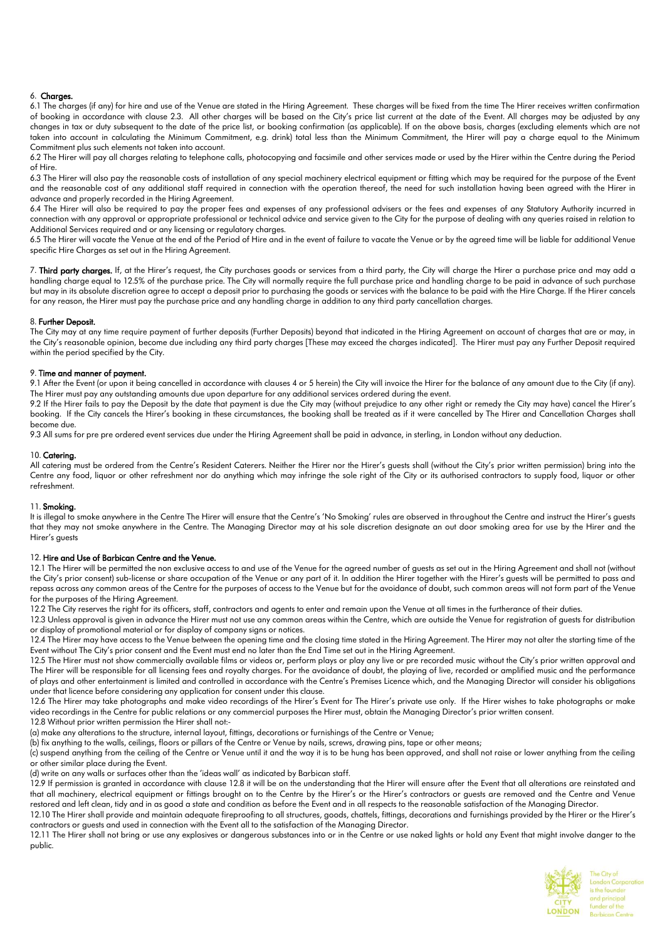# 6. Charges.

6.1 The charges (if any) for hire and use of the Venue are stated in the Hiring Agreement. These charges will be fixed from the time The Hirer receives written confirmation of booking in accordance with clause 2.3. All other charges will be based on the City's price list current at the date of the Event. All charges may be adjusted by any changes in tax or duty subsequent to the date of the price list, or booking confirmation (as applicable). If on the above basis, charges (excluding elements which are not taken into account in calculating the Minimum Commitment, e.g. drink) total less than the Minimum Commitment, the Hirer will pay a charge equal to the Minimum Commitment plus such elements not taken into account.

6.2 The Hirer will pay all charges relating to telephone calls, photocopying and facsimile and other services made or used by the Hirer within the Centre during the Period of Hire.

6.3 The Hirer will also pay the reasonable costs of installation of any special machinery electrical equipment or fitting which may be required for the purpose of the Event and the reasonable cost of any additional staff required in connection with the operation thereof, the need for such installation having been agreed with the Hirer in advance and properly recorded in the Hiring Agreement.

6.4 The Hirer will also be required to pay the proper fees and expenses of any professional advisers or the fees and expenses of any Statutory Authority incurred in connection with any approval or appropriate professional or technical advice and service given to the City for the purpose of dealing with any queries raised in relation to Additional Services required and or any licensing or regulatory charges.

6.5 The Hirer will vacate the Venue at the end of the Period of Hire and in the event of failure to vacate the Venue or by the agreed time will be liable for additional Venue specific Hire Charges as set out in the Hiring Agreement.

7. Third party charges. If, at the Hirer's request, the City purchases goods or services from a third party, the City will charge the Hirer a purchase price and may add a handling charge equal to 12.5% of the purchase price. The City will normally require the full purchase price and handling charge to be paid in advance of such purchase but may in its absolute discretion agree to accept a deposit prior to purchasing the goods or services with the balance to be paid with the Hire Charge. If the Hirer cancels for any reason, the Hirer must pay the purchase price and any handling charge in addition to any third party cancellation charges.

# 8. Further Deposit.

The City may at any time require payment of further deposits (Further Deposits) beyond that indicated in the Hiring Agreement on account of charges that are or may, in the City's reasonable opinion, become due including any third party charges [These may exceed the charges indicated]. The Hirer must pay any Further Deposit required within the period specified by the City.

# 9. Time and manner of payment.

9.1 After the Event (or upon it being cancelled in accordance with clauses 4 or 5 herein) the City will invoice the Hirer for the balance of any amount due to the City (if any). The Hirer must pay any outstanding amounts due upon departure for any additional services ordered during the event.

9.2 If the Hirer fails to pay the Deposit by the date that payment is due the City may (without prejudice to any other right or remedy the City may have) cancel the Hirer's booking. If the City cancels the Hirer's booking in these circumstances, the booking shall be treated as if it were cancelled by The Hirer and Cancellation Charges shall become due.

9.3 All sums for pre pre ordered event services due under the Hiring Agreement shall be paid in advance, in sterling, in London without any deduction.

# 10. Catering.

All catering must be ordered from the Centre's Resident Caterers. Neither the Hirer nor the Hirer's guests shall (without the City's prior written permission) bring into the Centre any food, liquor or other refreshment nor do anything which may infringe the sole right of the City or its authorised contractors to supply food, liquor or other refreshment.

# 11. Smoking.

It is illegal to smoke anywhere in the Centre The Hirer will ensure that the Centre's 'No Smoking' rules are observed in throughout the Centre and instruct the Hirer's guests that they may not smoke anywhere in the Centre. The Managing Director may at his sole discretion designate an out door smoking area for use by the Hirer and the Hirer's quests

# 12. Hire and Use of Barbican Centre and the Venue.

12.1 The Hirer will be permitted the non exclusive access to and use of the Venue for the agreed number of guests as set out in the Hiring Agreement and shall not (without the City's prior consent) sub-license or share occupation of the Venue or any part of it. In addition the Hirer together with the Hirer's guests will be permitted to pass and repass across any common areas of the Centre for the purposes of access to the Venue but for the avoidance of doubt, such common areas will not form part of the Venue for the purposes of the Hiring Agreement.

12.2 The City reserves the right for its officers, staff, contractors and agents to enter and remain upon the Venue at all times in the furtherance of their duties.

12.3 Unless approval is given in advance the Hirer must not use any common areas within the Centre, which are outside the Venue for registration of guests for distribution or display of promotional material or for display of company signs or notices.

12.4 The Hirer may have access to the Venue between the opening time and the closing time stated in the Hiring Agreement. The Hirer may not alter the starting time of the Event without The City's prior consent and the Event must end no later than the End Time set out in the Hiring Agreement.

12.5 The Hirer must not show commercially available films or videos or, perform plays or play any live or pre recorded music without the City's prior written approval and The Hirer will be responsible for all licensing fees and royalty charges. For the avoidance of doubt, the playing of live, recorded or amplified music and the performance of plays and other entertainment is limited and controlled in accordance with the Centre's Premises Licence which, and the Managing Director will consider his obligations under that licence before considering any application for consent under this clause.

12.6 The Hirer may take photographs and make video recordings of the Hirer's Event for The Hirer's private use only. If the Hirer wishes to take photographs or make video recordings in the Centre for public relations or any commercial purposes the Hirer must, obtain the Managing Director's prior written consent. 12.8 Without prior written permission the Hirer shall not:-

(a) make any alterations to the structure, internal layout, fittings, decorations or furnishings of the Centre or Venue;

(b) fix anything to the walls, ceilings, floors or pillars of the Centre or Venue by nails, screws, drawing pins, tape or other means;

(c) suspend anything from the ceiling of the Centre or Venue until it and the way it is to be hung has been approved, and shall not raise or lower anything from the ceiling or other similar place during the Event.

(d) write on any walls or surfaces other than the 'ideas wall' as indicated by Barbican staff.

12.9 If permission is granted in accordance with clause 12.8 it will be on the understanding that the Hirer will ensure after the Event that all alterations are reinstated and that all machinery, electrical equipment or fittings brought on to the Centre by the Hirer's or the Hirer's contractors or guests are removed and the Centre and Venue restored and left clean, tidy and in as good a state and condition as before the Event and in all respects to the reasonable satisfaction of the Managing Director.

12.10 The Hirer shall provide and maintain adequate fireproofing to all structures, goods, chattels, fittings, decorations and furnishings provided by the Hirer or the Hirer's contractors or guests and used in connection with the Event all to the satisfaction of the Managing Director.

12.11 The Hirer shall not bring or use any explosives or dangerous substances into or in the Centre or use naked lights or hold any Event that might involve danger to the public.



The City of London Corpo is the founder and principal funder of the **Barbican Centre**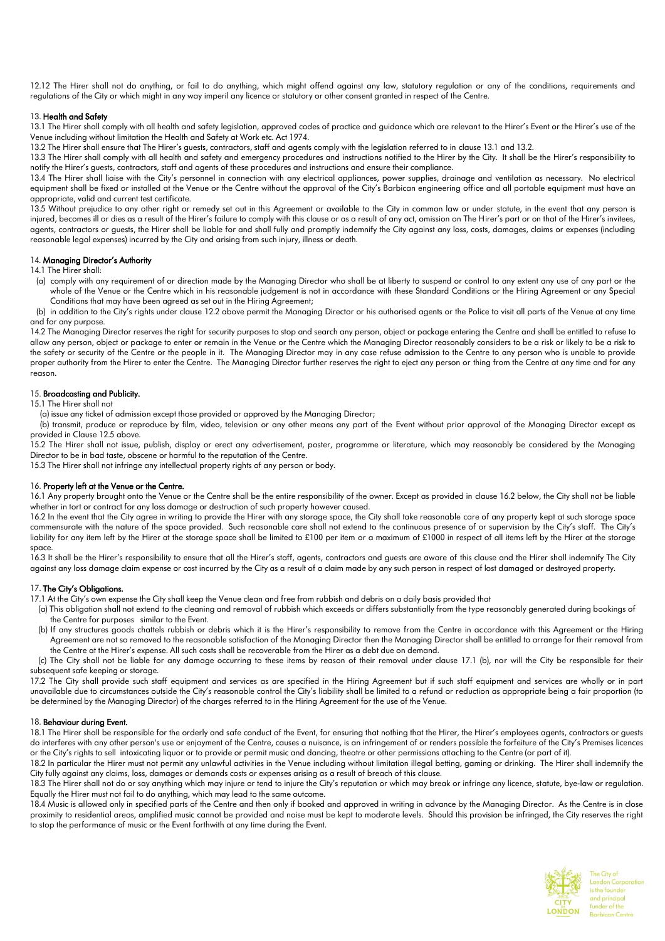12.12 The Hirer shall not do anything, or fail to do anything, which might offend against any law, statutory regulation or any of the conditions, requirements and regulations of the City or which might in any way imperil any licence or statutory or other consent granted in respect of the Centre.

# 13. Health and Safety

13.1 The Hirer shall comply with all health and safety legislation, approved codes of practice and guidance which are relevant to the Hirer's Event or the Hirer's use of the Venue including without limitation the Health and Safety at Work etc. Act 1974.

13.2 The Hirer shall ensure that The Hirer's guests, contractors, staff and agents comply with the legislation referred to in clause 13.1 and 13.2.

13.3 The Hirer shall comply with all health and safety and emergency procedures and instructions notified to the Hirer by the City. It shall be the Hirer's responsibility to notify the Hirer's guests, contractors, staff and agents of these procedures and instructions and ensure their compliance.

13.4 The Hirer shall liaise with the City's personnel in connection with any electrical appliances, power supplies, drainage and ventilation as necessary. No electrical equipment shall be fixed or installed at the Venue or the Centre without the approval of the City's Barbican engineering office and all portable equipment must have an appropriate, valid and current test certificate.

13.5 Without prejudice to any other right or remedy set out in this Agreement or available to the City in common law or under statute, in the event that any person is injured, becomes ill or dies as a result of the Hirer's failure to comply with this clause or as a result of any act, omission on The Hirer's part or on that of the Hirer's invitees, agents, contractors or guests, the Hirer shall be liable for and shall fully and promptly indemnify the City against any loss, costs, damages, claims or expenses (including reasonable legal expenses) incurred by the City and arising from such injury, illness or death.

#### 14. Managing Director's Authority

14.1 The Hirer shall:

(a) comply with any requirement of or direction made by the Managing Director who shall be at liberty to suspend or control to any extent any use of any part or the whole of the Venue or the Centre which in his reasonable judgement is not in accordance with these Standard Conditions or the Hiring Agreement or any Special Conditions that may have been agreed as set out in the Hiring Agreement;

 (b) in addition to the City's rights under clause 12.2 above permit the Managing Director or his authorised agents or the Police to visit all parts of the Venue at any time and for any purpose.

14.2 The Managing Director reserves the right for security purposes to stop and search any person, object or package entering the Centre and shall be entitled to refuse to allow any person, object or package to enter or remain in the Venue or the Centre which the Managing Director reasonably considers to be a risk or likely to be a risk to the safety or security of the Centre or the people in it. The Managing Director may in any case refuse admission to the Centre to any person who is unable to provide proper authority from the Hirer to enter the Centre. The Managing Director further reserves the right to eject any person or thing from the Centre at any time and for any reason.

# 15. Broadcasting and Publicity.

15.1 The Hirer shall not

(a) issue any ticket of admission except those provided or approved by the Managing Director;

(b) transmit, produce or reproduce by film, video, television or any other means any part of the Event without prior approval of the Managing Director except as provided in Clause 12.5 above.

15.2 The Hirer shall not issue, publish, display or erect any advertisement, poster, programme or literature, which may reasonably be considered by the Managing Director to be in bad taste, obscene or harmful to the reputation of the Centre.

15.3 The Hirer shall not infringe any intellectual property rights of any person or body.

#### 16. Property left at the Venue or the Centre.

16.1 Any property brought onto the Venue or the Centre shall be the entire responsibility of the owner. Except as provided in clause 16.2 below, the City shall not be liable whether in tort or contract for any loss damage or destruction of such property however caused.

16.2 In the event that the City agree in writing to provide the Hirer with any storage space, the City shall take reasonable care of any property kept at such storage space commensurate with the nature of the space provided. Such reasonable care shall not extend to the continuous presence of or supervision by the City's staff. The City's liability for any item left by the Hirer at the storage space shall be limited to £100 per item or a maximum of £1000 in respect of all items left by the Hirer at the storage space.

16.3 It shall be the Hirer's responsibility to ensure that all the Hirer's staff, agents, contractors and guests are aware of this clause and the Hirer shall indemnify The City against any loss damage claim expense or cost incurred by the City as a result of a claim made by any such person in respect of lost damaged or destroyed property.

#### 17. The City's Obligations.

17.1 At the City's own expense the City shall keep the Venue clean and free from rubbish and debris on a daily basis provided that

- (a) This obligation shall not extend to the cleaning and removal of rubbish which exceeds or differs substantially from the type reasonably generated during bookings of the Centre for purposes similar to the Event.
- (b) If any structures goods chattels rubbish or debris which it is the Hirer's responsibility to remove from the Centre in accordance with this Agreement or the Hiring Agreement are not so removed to the reasonable satisfaction of the Managing Director then the Managing Director shall be entitled to arrange for their removal from the Centre at the Hirer's expense. All such costs shall be recoverable from the Hirer as a debt due on demand.

 (c) The City shall not be liable for any damage occurring to these items by reason of their removal under clause 17.1 (b), nor will the City be responsible for their subsequent safe keeping or storage.

17.2 The City shall provide such staff equipment and services as are specified in the Hiring Agreement but if such staff equipment and services are wholly or in part unavailable due to circumstances outside the City's reasonable control the City's liability shall be limited to a refund or reduction as appropriate being a fair proportion (to be determined by the Managing Director) of the charges referred to in the Hiring Agreement for the use of the Venue.

#### 18. Behaviour during Event.

18.1 The Hirer shall be responsible for the orderly and safe conduct of the Event, for ensuring that nothing that the Hirer, the Hirer's employees agents, contractors or guests do interferes with any other person's use or enjoyment of the Centre, causes a nuisance, is an infringement of or renders possible the forfeiture of the City's Premises licences or the City's rights to sell intoxicating liquor or to provide or permit music and dancing, theatre or other permissions attaching to the Centre (or part of it).

18.2 In particular the Hirer must not permit any unlawful activities in the Venue including without limitation illegal betting, gaming or drinking. The Hirer shall indemnify the City fully against any claims, loss, damages or demands costs or expenses arising as a result of breach of this clause.

18.3 The Hirer shall not do or say anything which may injure or tend to injure the City's reputation or which may break or infringe any licence, statute, bye-law or regulation. Equally the Hirer must not fail to do anything, which may lead to the same outcome.

18.4 Music is allowed only in specified parts of the Centre and then only if booked and approved in writing in advance by the Managing Director. As the Centre is in close proximity to residential areas, amplified music cannot be provided and noise must be kept to moderate levels. Should this provision be infringed, the City reserves the right to stop the performance of music or the Event forthwith at any time during the Event.

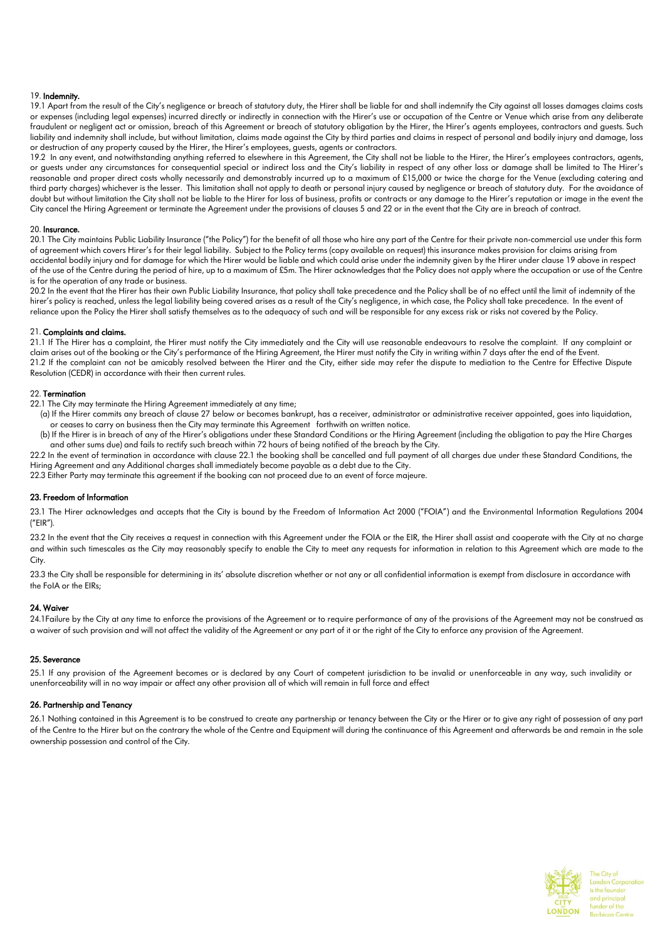#### 19. Indemnity.

19.1 Apart from the result of the City's negligence or breach of statutory duty, the Hirer shall be liable for and shall indemnify the City against all losses damages claims costs or expenses (including legal expenses) incurred directly or indirectly in connection with the Hirer's use or occupation of the Centre or Venue which arise from any deliberate fraudulent or negligent act or omission, breach of this Agreement or breach of statutory obligation by the Hirer, the Hirer's agents employees, contractors and guests. Such liability and indemnity shall include, but without limitation, claims made against the City by third parties and claims in respect of personal and bodily injury and damage, loss or destruction of any property caused by the Hirer, the Hirer's employees, guests, agents or contractors.

19.2 In any event, and notwithstanding anything referred to elsewhere in this Agreement, the City shall not be liable to the Hirer, the Hirer's employees contractors, agents, or guests under any circumstances for consequential special or indirect loss and the City's liability in respect of any other loss or damage shall be limited to The Hirer's reasonable and proper direct costs wholly necessarily and demonstrably incurred up to a maximum of £15,000 or twice the charge for the Venue (excluding catering and third party charges) whichever is the lesser. This limitation shall not apply to death or personal injury caused by negligence or breach of statutory duty. For the avoidance of doubt but without limitation the City shall not be liable to the Hirer for loss of business, profits or contracts or any damage to the Hirer's reputation or image in the event the City cancel the Hiring Agreement or terminate the Agreement under the provisions of clauses 5 and 22 or in the event that the City are in breach of contract.

#### 20. Insurance.

20.1 The City maintains Public Liability Insurance ("the Policy") for the benefit of all those who hire any part of the Centre for their private non-commercial use under this form of agreement which covers Hirer's for their legal liability. Subject to the Policy terms (copy available on request) this insurance makes provision for claims arising from accidental bodily injury and for damage for which the Hirer would be liable and which could arise under the indemnity given by the Hirer under clause 19 above in respect of the use of the Centre during the period of hire, up to a maximum of £5m. The Hirer acknowledges that the Policy does not apply where the occupation or use of the Centre is for the operation of any trade or business.

20.2 In the event that the Hirer has their own Public Liability Insurance, that policy shall take precedence and the Policy shall be of no effect until the limit of indemnity of the hirer's policy is reached, unless the legal liability being covered arises as a result of the City's negligence, in which case, the Policy shall take precedence. In the event of reliance upon the Policy the Hirer shall satisfy themselves as to the adequacy of such and will be responsible for any excess risk or risks not covered by the Policy.

### 21. Complaints and claims.

21.1 If The Hirer has a complaint, the Hirer must notify the City immediately and the City will use reasonable endeavours to resolve the complaint. If any complaint or claim arises out of the booking or the City's performance of the Hiring Agreement, the Hirer must notify the City in writing within 7 days after the end of the Event. 21.2 If the complaint can not be amicably resolved between the Hirer and the City, either side may refer the dispute to mediation to the Centre for Effective Dispute Resolution (CEDR) in accordance with their then current rules.

#### 22. Termination

22.1 The City may terminate the Hiring Agreement immediately at any time;

- (a) If the Hirer commits any breach of clause 27 below or becomes bankrupt, has a receiver, administrator or administrative receiver appointed, goes into liquidation, or ceases to carry on business then the City may terminate this Agreement forthwith on written notice.
- (b) If the Hirer is in breach of any of the Hirer's obligations under these Standard Conditions or the Hiring Agreement (including the obligation to pay the Hire Charges and other sums due) and fails to rectify such breach within 72 hours of being notified of the breach by the City.

22.2 In the event of termination in accordance with clause 22.1 the booking shall be cancelled and full payment of all charges due under these Standard Conditions, the Hiring Agreement and any Additional charges shall immediately become payable as a debt due to the City.

22.3 Either Party may terminate this agreement if the booking can not proceed due to an event of force majeure.

#### 23. Freedom of Information

23.1 The Hirer acknowledges and accepts that the City is bound by the Freedom of Information Act 2000 ("FOIA") and the Environmental Information Regulations 2004 ("EIR").

23.2 In the event that the City receives a request in connection with this Agreement under the FOIA or the EIR, the Hirer shall assist and cooperate with the City at no charge and within such timescales as the City may reasonably specify to enable the City to meet any requests for information in relation to this Agreement which are made to the City.

23.3 the City shall be responsible for determining in its' absolute discretion whether or not any or all confidential information is exempt from disclosure in accordance with the FoIA or the EIRs;

#### 24. Waiver

24.1Failure by the City at any time to enforce the provisions of the Agreement or to require performance of any of the provisions of the Agreement may not be construed as a waiver of such provision and will not affect the validity of the Agreement or any part of it or the right of the City to enforce any provision of the Agreement.

#### 25. Severance

25.1 If any provision of the Agreement becomes or is declared by any Court of competent jurisdiction to be invalid or unenforceable in any way, such invalidity or unenforceability will in no way impair or affect any other provision all of which will remain in full force and effect

# 26. Partnership and Tenancy

26.1 Nothing contained in this Agreement is to be construed to create any partnership or tenancy between the City or the Hirer or to give any right of possession of any part of the Centre to the Hirer but on the contrary the whole of the Centre and Equipment will during the continuance of this Agreement and afterwards be and remain in the sole ownership possession and control of the City.